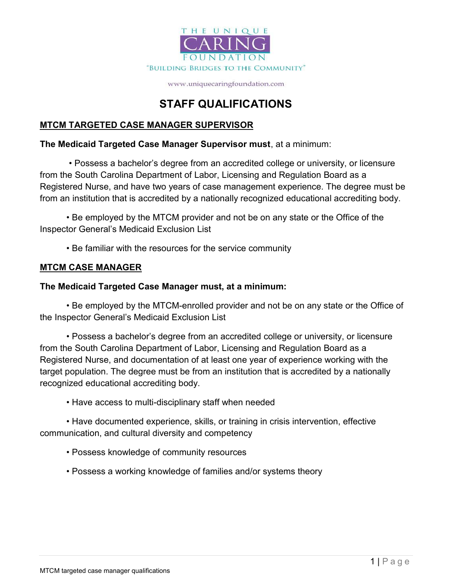

www.uniquecaringfoundation.com

## STAFF QUALIFICATIONS

### MTCM TARGETED CASE MANAGER SUPERVISOR

#### The Medicaid Targeted Case Manager Supervisor must, at a minimum:

 • Possess a bachelor's degree from an accredited college or university, or licensure from the South Carolina Department of Labor, Licensing and Regulation Board as a Registered Nurse, and have two years of case management experience. The degree must be from an institution that is accredited by a nationally recognized educational accrediting body.

• Be employed by the MTCM provider and not be on any state or the Office of the Inspector General's Medicaid Exclusion List

• Be familiar with the resources for the service community

### **MTCM CASE MANAGER**

### The Medicaid Targeted Case Manager must, at a minimum:

• Be employed by the MTCM-enrolled provider and not be on any state or the Office of the Inspector General's Medicaid Exclusion List

• Possess a bachelor's degree from an accredited college or university, or licensure from the South Carolina Department of Labor, Licensing and Regulation Board as a Registered Nurse, and documentation of at least one year of experience working with the target population. The degree must be from an institution that is accredited by a nationally recognized educational accrediting body.

• Have access to multi-disciplinary staff when needed

• Have documented experience, skills, or training in crisis intervention, effective communication, and cultural diversity and competency

- Possess knowledge of community resources
- Possess a working knowledge of families and/or systems theory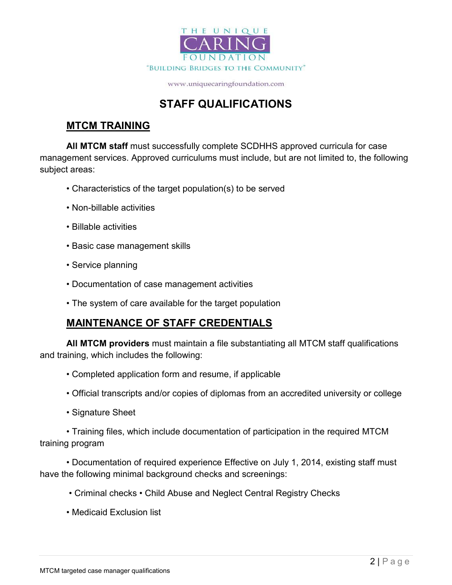

www.uniquecaringfoundation.com

# STAFF QUALIFICATIONS

### MTCM TRAINING

All MTCM staff must successfully complete SCDHHS approved curricula for case management services. Approved curriculums must include, but are not limited to, the following subject areas:

- Characteristics of the target population(s) to be served
- Non-billable activities
- Billable activities
- Basic case management skills
- Service planning
- Documentation of case management activities
- The system of care available for the target population

### MAINTENANCE OF STAFF CREDENTIALS

All MTCM providers must maintain a file substantiating all MTCM staff qualifications and training, which includes the following:

- Completed application form and resume, if applicable
- Official transcripts and/or copies of diplomas from an accredited university or college
- Signature Sheet

• Training files, which include documentation of participation in the required MTCM training program

• Documentation of required experience Effective on July 1, 2014, existing staff must have the following minimal background checks and screenings:

- Criminal checks Child Abuse and Neglect Central Registry Checks
- Medicaid Exclusion list